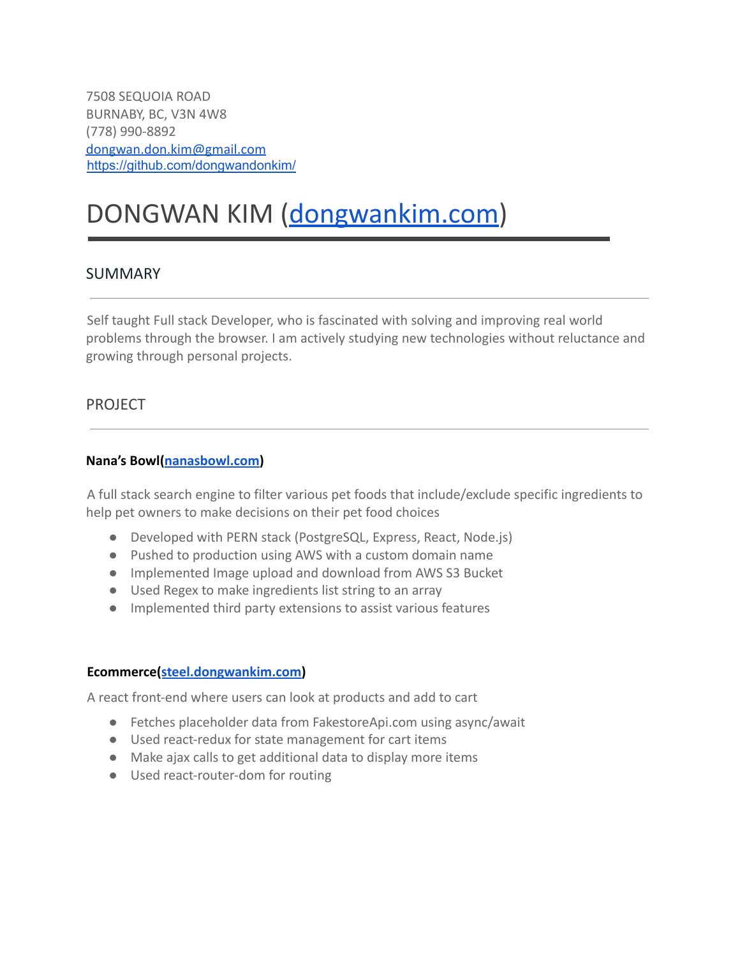7508 SEQUOIA ROAD BURNABY, BC, V3N 4W8 (778) 990-8892 [dongwan.don.kim@gmail.com](mailto:dongwan.don.kim@gmail.com) <https://github.com/dongwandonkim/>

# DONGWAN KIM [\(dongwankim.com\)](http://www.dongwankim.com)

#### SUMMARY

Self taught Full stack Developer, who is fascinated with solving and improving real world problems through the browser. I am actively studying new technologies without reluctance and growing through personal projects.

#### PROJECT

#### **Nana's Bowl[\(nanasbowl.com\)](http://www.nanasbowl.com)**

A full stack search engine to filter various pet foods that include/exclude specific ingredients to help pet owners to make decisions on their pet food choices

- Developed with PERN stack (PostgreSQL, Express, React, Node.js)
- Pushed to production using AWS with a custom domain name
- Implemented Image upload and download from AWS S3 Bucket
- Used Regex to make ingredients list string to an array
- Implemented third party extensions to assist various features

#### **Ecommerce([steel.dongwankim.com\)](https://steel.dongwankim.com)**

A react front-end where users can look at products and add to cart

- Fetches placeholder data from FakestoreApi.com using async/await
- Used react-redux for state management for cart items
- Make ajax calls to get additional data to display more items
- Used react-router-dom for routing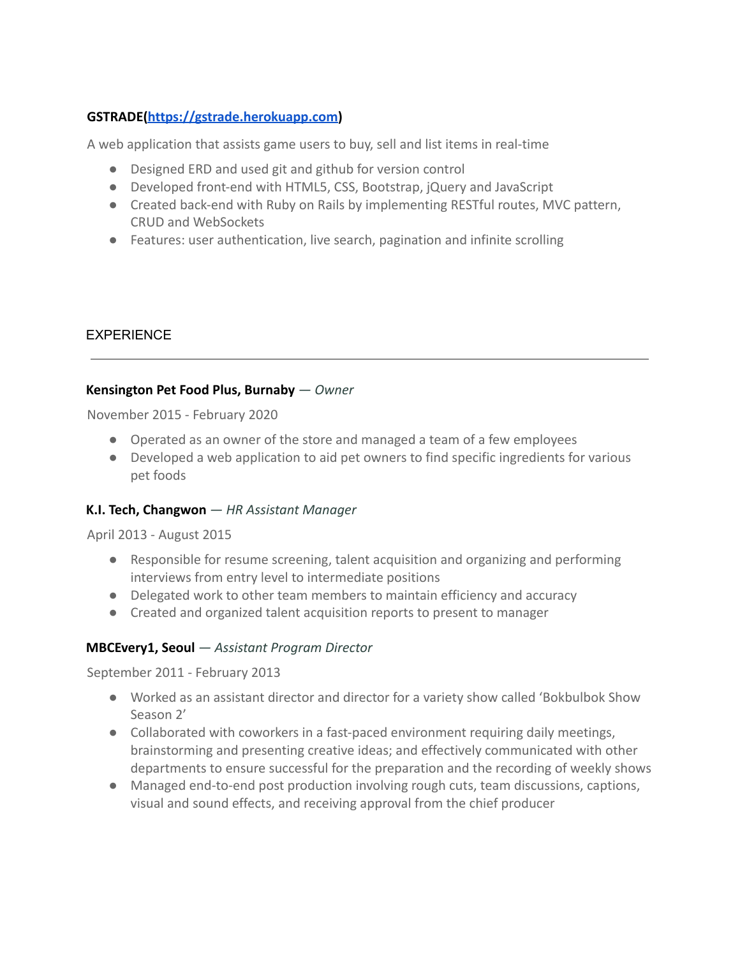## **GSTRADE[\(https://gstrade.herokuapp.com\)](https://gstrade.herokuapp.com)**

A web application that assists game users to buy, sell and list items in real-time

- Designed ERD and used git and github for version control
- Developed front-end with HTML5, CSS, Bootstrap, jQuery and JavaScript
- Created back-end with Ruby on Rails by implementing RESTful routes, MVC pattern, CRUD and WebSockets
- Features: user authentication, live search, pagination and infinite scrolling

## EXPERIENCE

#### **Kensington Pet Food Plus, Burnaby** *— Owner*

November 2015 - February 2020

- Operated as an owner of the store and managed a team of a few employees
- Developed a web application to aid pet owners to find specific ingredients for various pet foods

## **K.I. Tech, Changwon** *— HR Assistant Manager*

#### April 2013 - August 2015

- Responsible for resume screening, talent acquisition and organizing and performing interviews from entry level to intermediate positions
- Delegated work to other team members to maintain efficiency and accuracy
- Created and organized talent acquisition reports to present to manager

## **MBCEvery1, Seoul** *— Assistant Program Director*

September 2011 - February 2013

- Worked as an assistant director and director for a variety show called 'Bokbulbok Show Season 2'
- Collaborated with coworkers in a fast-paced environment requiring daily meetings, brainstorming and presenting creative ideas; and effectively communicated with other departments to ensure successful for the preparation and the recording of weekly shows
- Managed end-to-end post production involving rough cuts, team discussions, captions, visual and sound effects, and receiving approval from the chief producer